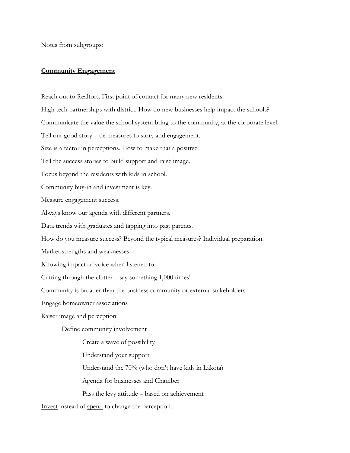Notes from subgroups:

### **Community Engagement**

Reach out to Realtors. First point of contact for many new residents. High tech partnerships with district. How do new businesses help impact the schools? Communicate the value the school system bring to the community, at the corporate level. Tell our good story – tie measures to story and engagement. Size is a factor in perceptions. How to make that a positive. Tell the success stories to build support and raise image. Focus beyond the residents with kids in school. Community buy-in and investment is key. Measure engagement success. Always know our agenda with different partners. Data trends with graduates and tapping into past parents. How do you measure success? Beyond the typical measures? Individual preparation. Market strengths and weaknesses. Knowing impact of voice when listened to. Cutting through the clutter  $-$  say something 1,000 times! Community is broader than the business community or external stakeholders Engage homeowner associations Raiser image and perception: Define community involvement Create a wave of possibility Understand your support Understand the 70% (who don't have kids in Lakota) Agenda for businesses and Chamber Pass the levy attitude – based on achievement Invest instead of spend to change the perception.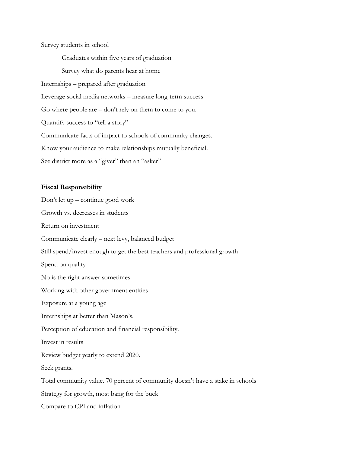Survey students in school

Graduates within five years of graduation Survey what do parents hear at home Internships – prepared after graduation Leverage social media networks – measure long-term success Go where people are – don't rely on them to come to you. Quantify success to "tell a story" Communicate facts of impact to schools of community changes. Know your audience to make relationships mutually beneficial. See district more as a "giver" than an "asker"

#### **Fiscal Responsibility**

Don't let up – continue good work Growth vs. decreases in students Return on investment Communicate clearly – next levy, balanced budget Still spend/invest enough to get the best teachers and professional growth Spend on quality No is the right answer sometimes. Working with other government entities Exposure at a young age Internships at better than Mason's. Perception of education and financial responsibility. Invest in results Review budget yearly to extend 2020. Seek grants. Total community value. 70 percent of community doesn't have a stake in schools Strategy for growth, most bang for the buck Compare to CPI and inflation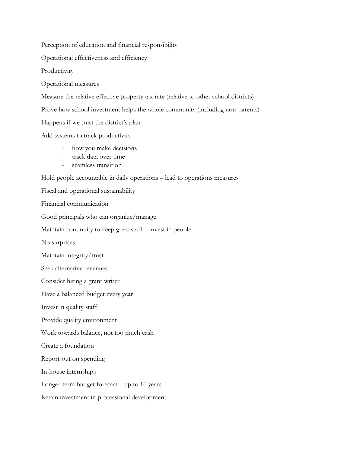Perception of education and financial responsibility

Operational effectiveness and efficiency

**Productivity** 

Operational measures

Measure the relative effective property tax rate (relative to other school districts)

Prove how school investment helps the whole community (including non-parents)

Happens if we trust the district's plan

Add systems to track productivity

- how you make decisions
- track data over time
- seamless transition

Hold people accountable in daily operations – lead to operations measures

Fiscal and operational sustainability

Financial communication

Good principals who can organize/manage

Maintain continuity to keep great staff – invest in people

No surprises

Maintain integrity/trust

Seek alternative revenues

Consider hiring a grant writer

Have a balanced budget every year

Invest in quality staff

Provide quality environment

Work towards balance, not too much cash

Create a foundation

Report-out on spending

In-house internships

Longer-term budget forecast – up to 10 years

Retain investment in professional development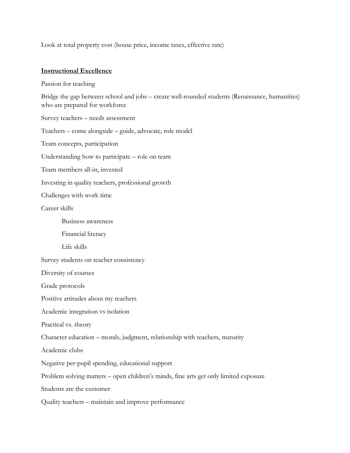Look at total property cost (house price, income taxes, effective rate)

# **Instructional Excellence**

Passion for teaching

Bridge the gap between school and jobs – create well-rounded students (Renaissance, humanities) who are prepared for workforce

Survey teachers – needs assessment

Teachers – come alongside – guide, advocate, role model

Team concepts, participation

Understanding how to participate – role on team

Team members all-in, invested

Investing in quality teachers, professional growth

Challenges with work time

Career skills

Business awareness

Financial literacy

Life skills

Survey students on teacher consistency

Diversity of courses

Grade protocols

Positive attitudes about my teachers

Academic integration vs isolation

Practical vs. theory

Character education – morals, judgment, relationship with teachers, maturity

Academic clubs

Negative per-pupil spending, educational support

Problem solving matters – open children's minds, fine arts get only limited exposure

Students are the customer

Quality teachers – maintain and improve performance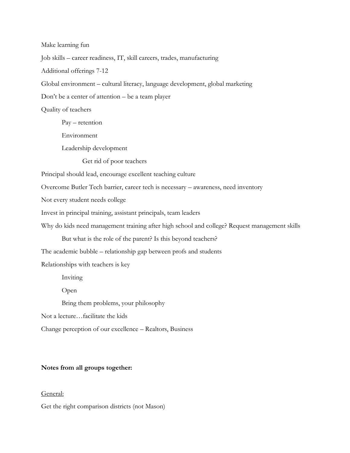Make learning fun Job skills – career readiness, IT, skill careers, trades, manufacturing Additional offerings 7-12 Global environment – cultural literacy, language development, global marketing Don't be a center of attention – be a team player Quality of teachers Pay – retention Environment Leadership development Get rid of poor teachers Principal should lead, encourage excellent teaching culture Overcome Butler Tech barrier, career tech is necessary – awareness, need inventory Not every student needs college Invest in principal training, assistant principals, team leaders Why do kids need management training after high school and college? Request management skills But what is the role of the parent? Is this beyond teachers? The academic bubble – relationship gap between profs and students Relationships with teachers is key Inviting Open Bring them problems, your philosophy Not a lecture…facilitate the kids Change perception of our excellence – Realtors, Business

# **Notes from all groups together:**

# General:

Get the right comparison districts (not Mason)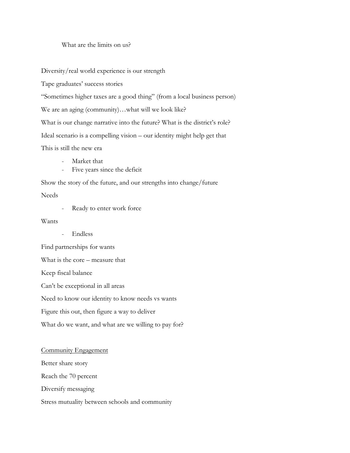# What are the limits on us?

Diversity/real world experience is our strength

Tape graduates' success stories

"Sometimes higher taxes are a good thing" (from a local business person)

We are an aging (community)…what will we look like?

What is our change narrative into the future? What is the district's role?

Ideal scenario is a compelling vision – our identity might help get that

This is still the new era

- Market that
- Five years since the deficit

Show the story of the future, and our strengths into change/future

Needs

- Ready to enter work force

Wants

- Endless

Find partnerships for wants What is the core – measure that Keep fiscal balance Can't be exceptional in all areas Need to know our identity to know needs vs wants Figure this out, then figure a way to deliver What do we want, and what are we willing to pay for?

### Community Engagement

Better share story

Reach the 70 percent

Diversify messaging

Stress mutuality between schools and community